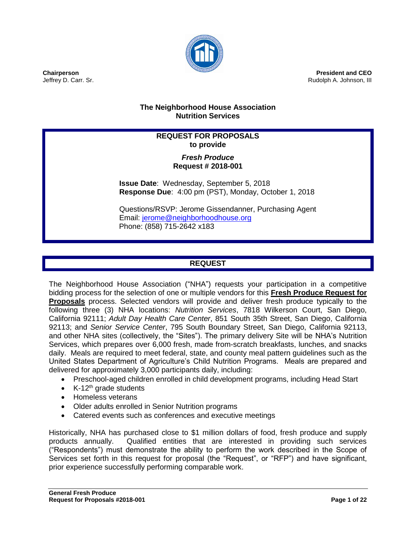

**President and CEO** Rudolph A. Johnson, III

# **The Neighborhood House Association Nutrition Services**

# **REQUEST FOR PROPOSALS to provide**

# *Fresh Produce* **Request # 2018-001**

**Issue Date**: Wednesday, September 5, 2018 **Response Due**: 4:00 pm (PST), Monday, October 1, 2018

Questions/RSVP: Jerome Gissendanner, Purchasing Agent Email: [jerome@neighborhoodhouse.org](mailto:jerome@neighborhoodhouse.org) Phone: (858) 715-2642 x183

# **REQUEST**

The Neighborhood House Association ("NHA") requests your participation in a competitive bidding process for the selection of one or multiple vendors for this **Fresh Produce Request for Proposals** process. Selected vendors will provide and deliver fresh produce typically to the following three (3) NHA locations: *Nutrition Services*, 7818 Wilkerson Court, San Diego, California 92111; *Adult Day Health Care Center*, 851 South 35th Street, San Diego, California 92113; and *Senior Service Center*, 795 South Boundary Street, San Diego, California 92113, and other NHA sites (collectively, the "Sites"). The primary delivery Site will be NHA's Nutrition Services, which prepares over 6,000 fresh, made from-scratch breakfasts, lunches, and snacks daily. Meals are required to meet federal, state, and county meal pattern guidelines such as the United States Department of Agriculture's Child Nutrition Programs. Meals are prepared and delivered for approximately 3,000 participants daily, including:

- Preschool-aged children enrolled in child development programs, including Head Start
- $\bullet$  K-12<sup>th</sup> grade students
- Homeless veterans
- Older adults enrolled in Senior Nutrition programs
- Catered events such as conferences and executive meetings

Historically, NHA has purchased close to \$1 million dollars of food, fresh produce and supply products annually. Qualified entities that are interested in providing such services ("Respondents") must demonstrate the ability to perform the work described in the Scope of Services set forth in this request for proposal (the "Request", or "RFP") and have significant, prior experience successfully performing comparable work.

**Chairperson** Jeffrey D. Carr. Sr.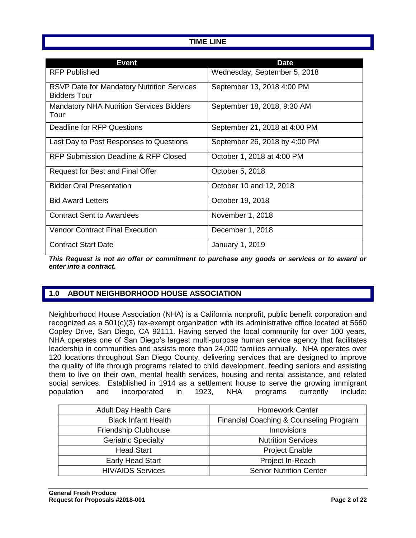# **TIME LINE**

| <b>Event</b>                                                             | <b>Date</b>                   |
|--------------------------------------------------------------------------|-------------------------------|
| <b>RFP Published</b>                                                     | Wednesday, September 5, 2018  |
| <b>RSVP Date for Mandatory Nutrition Services</b><br><b>Bidders Tour</b> | September 13, 2018 4:00 PM    |
| <b>Mandatory NHA Nutrition Services Bidders</b><br>Tour                  | September 18, 2018, 9:30 AM   |
| Deadline for RFP Questions                                               | September 21, 2018 at 4:00 PM |
| Last Day to Post Responses to Questions                                  | September 26, 2018 by 4:00 PM |
| RFP Submission Deadline & RFP Closed                                     | October 1, 2018 at 4:00 PM    |
| Request for Best and Final Offer                                         | October 5, 2018               |
| <b>Bidder Oral Presentation</b>                                          | October 10 and 12, 2018       |
| <b>Bid Award Letters</b>                                                 | October 19, 2018              |
| <b>Contract Sent to Awardees</b>                                         | November 1, 2018              |
| <b>Vendor Contract Final Execution</b>                                   | December 1, 2018              |
| <b>Contract Start Date</b>                                               | January 1, 2019               |

*This Request is not an offer or commitment to purchase any goods or services or to award or enter into a contract.*

# **1.0 ABOUT NEIGHBORHOOD HOUSE ASSOCIATION**

Neighborhood House Association (NHA) is a California nonprofit, public benefit corporation and recognized as a 501(c)(3) tax-exempt organization with its administrative office located at 5660 Copley Drive, San Diego, CA 92111. Having served the local community for over 100 years, NHA operates one of San Diego's largest multi-purpose human service agency that facilitates leadership in communities and assists more than 24,000 families annually. NHA operates over 120 locations throughout San Diego County, delivering services that are designed to improve the quality of life through programs related to child development, feeding seniors and assisting them to live on their own, mental health services, housing and rental assistance, and related social services. Established in 1914 as a settlement house to serve the growing immigrant population and incorporated in 1923, NHA programs currently include:

| <b>Adult Day Health Care</b> | <b>Homework Center</b>                  |
|------------------------------|-----------------------------------------|
| <b>Black Infant Health</b>   | Financial Coaching & Counseling Program |
| Friendship Clubhouse         | Innovisions                             |
| <b>Geriatric Specialty</b>   | <b>Nutrition Services</b>               |
| <b>Head Start</b>            | <b>Project Enable</b>                   |
| Early Head Start             | Project In-Reach                        |
| <b>HIV/AIDS Services</b>     | <b>Senior Nutrition Center</b>          |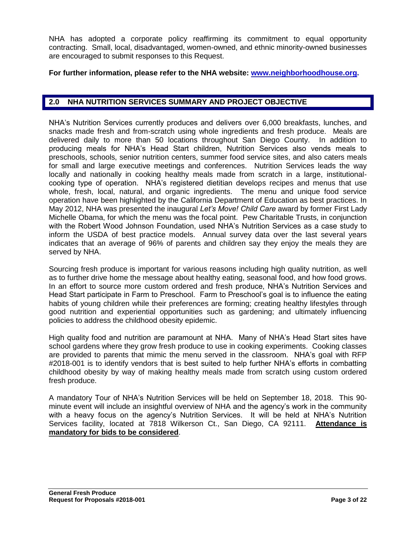NHA has adopted a corporate policy reaffirming its commitment to equal opportunity contracting. Small, local, disadvantaged, women-owned, and ethnic minority-owned businesses are encouraged to submit responses to this Request.

## **For further information, please refer to the NHA website: [www.neighborhoodhouse.org.](http://www.neighborhoodhouse.org/)**

# **2.0 NHA NUTRITION SERVICES SUMMARY AND PROJECT OBJECTIVE**

NHA's Nutrition Services currently produces and delivers over 6,000 breakfasts, lunches, and snacks made fresh and from-scratch using whole ingredients and fresh produce. Meals are delivered daily to more than 50 locations throughout San Diego County. In addition to producing meals for NHA's Head Start children, Nutrition Services also vends meals to preschools, schools, senior nutrition centers, summer food service sites, and also caters meals for small and large executive meetings and conferences. Nutrition Services leads the way locally and nationally in cooking healthy meals made from scratch in a large, institutionalcooking type of operation. NHA's registered dietitian develops recipes and menus that use whole, fresh, local, natural, and organic ingredients. The menu and unique food service operation have been highlighted by the California Department of Education as best practices. In May 2012, NHA was presented the inaugural *Let's Move! Child Care* award by former First Lady Michelle Obama, for which the menu was the focal point. Pew Charitable Trusts, in conjunction with the Robert Wood Johnson Foundation, used NHA's Nutrition Services as a case study to inform the USDA of best practice models. Annual survey data over the last several years indicates that an average of 96% of parents and children say they enjoy the meals they are served by NHA.

Sourcing fresh produce is important for various reasons including high quality nutrition, as well as to further drive home the message about healthy eating, seasonal food, and how food grows. In an effort to source more custom ordered and fresh produce, NHA's Nutrition Services and Head Start participate in Farm to Preschool. Farm to Preschool's goal is to influence the eating habits of young children while their preferences are forming; creating healthy lifestyles through good nutrition and experiential opportunities such as gardening; and ultimately influencing policies to address the childhood obesity epidemic.

High quality food and nutrition are paramount at NHA. Many of NHA's Head Start sites have school gardens where they grow fresh produce to use in cooking experiments. Cooking classes are provided to parents that mimic the menu served in the classroom. NHA's goal with RFP #2018-001 is to identify vendors that is best suited to help further NHA's efforts in combatting childhood obesity by way of making healthy meals made from scratch using custom ordered fresh produce.

A mandatory Tour of NHA's Nutrition Services will be held on September 18, 2018. This 90 minute event will include an insightful overview of NHA and the agency's work in the community with a heavy focus on the agency's Nutrition Services. It will be held at NHA's Nutrition Services facility, located at 7818 Wilkerson Ct., San Diego, CA 92111. **Attendance is mandatory for bids to be considered**.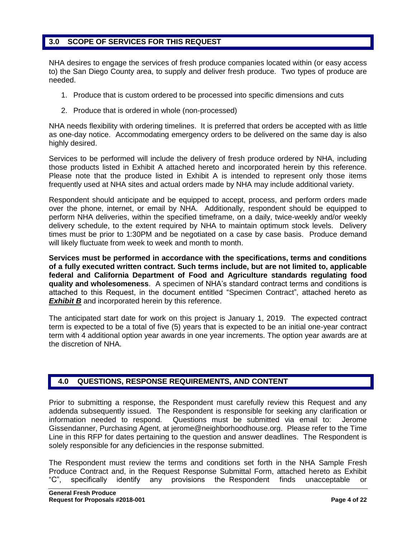# **3.0 SCOPE OF SERVICES FOR THIS REQUEST**

NHA desires to engage the services of fresh produce companies located within (or easy access to) the San Diego County area, to supply and deliver fresh produce. Two types of produce are needed.

- 1. Produce that is custom ordered to be processed into specific dimensions and cuts
- 2. Produce that is ordered in whole (non-processed)

NHA needs flexibility with ordering timelines. It is preferred that orders be accepted with as little as one-day notice. Accommodating emergency orders to be delivered on the same day is also highly desired.

Services to be performed will include the delivery of fresh produce ordered by NHA, including those products listed in Exhibit A attached hereto and incorporated herein by this reference. Please note that the produce listed in Exhibit A is intended to represent only those items frequently used at NHA sites and actual orders made by NHA may include additional variety.

Respondent should anticipate and be equipped to accept, process, and perform orders made over the phone, internet, or email by NHA. Additionally, respondent should be equipped to perform NHA deliveries, within the specified timeframe, on a daily, twice-weekly and/or weekly delivery schedule, to the extent required by NHA to maintain optimum stock levels. Delivery times must be prior to 1:30PM and be negotiated on a case by case basis. Produce demand will likely fluctuate from week to week and month to month.

**Services must be performed in accordance with the specifications, terms and conditions of a fully executed written contract. Such terms include, but are not limited to, applicable federal and California Department of Food and Agriculture standards regulating food quality and wholesomeness**. A specimen of NHA's standard contract terms and conditions is attached to this Request, in the document entitled "Specimen Contract", attached hereto as **Exhibit B** and incorporated herein by this reference.

The anticipated start date for work on this project is January 1, 2019. The expected contract term is expected to be a total of five (5) years that is expected to be an initial one-year contract term with 4 additional option year awards in one year increments. The option year awards are at the discretion of NHA.

# **4.0 QUESTIONS, RESPONSE REQUIREMENTS, AND CONTENT**

Prior to submitting a response, the Respondent must carefully review this Request and any addenda subsequently issued. The Respondent is responsible for seeking any clarification or information needed to respond. Questions must be submitted via email to: Jerome Gissendanner, Purchasing Agent, at [jerome@neighborhoodhouse.org.](mailto:jerome@neighborhoodhouse.org) Please refer to the Time Line in this RFP for dates pertaining to the question and answer deadlines. The Respondent is solely responsible for any deficiencies in the response submitted.

The Respondent must review the terms and conditions set forth in the NHA Sample Fresh Produce Contract and, in the Request Response Submittal Form, attached hereto as Exhibit "C", specifically identify any provisions the Respondent finds unacceptable or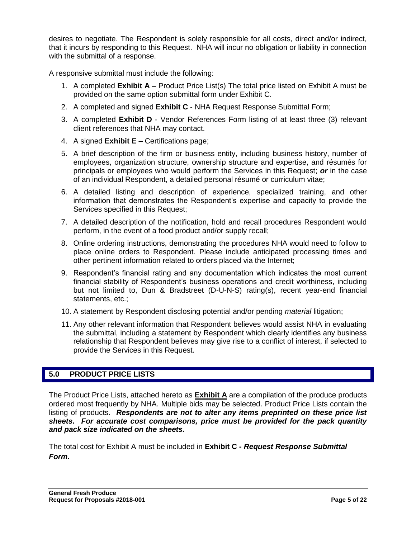desires to negotiate. The Respondent is solely responsible for all costs, direct and/or indirect, that it incurs by responding to this Request. NHA will incur no obligation or liability in connection with the submittal of a response.

A responsive submittal must include the following:

- 1. A completed **Exhibit A –** Product Price List(s) The total price listed on Exhibit A must be provided on the same option submittal form under Exhibit C.
- 2. A completed and signed **Exhibit C** NHA Request Response Submittal Form;
- 3. A completed **Exhibit D** Vendor References Form listing of at least three (3) relevant client references that NHA may contact.
- 4. A signed **Exhibit E** Certifications page;
- 5. A brief description of the firm or business entity, including business history, number of employees, organization structure, ownership structure and expertise, and résumés for principals or employees who would perform the Services in this Request; *or* in the case of an individual Respondent, a detailed personal résumé or curriculum vitae;
- 6. A detailed listing and description of experience, specialized training, and other information that demonstrates the Respondent's expertise and capacity to provide the Services specified in this Request;
- 7. A detailed description of the notification, hold and recall procedures Respondent would perform, in the event of a food product and/or supply recall;
- 8. Online ordering instructions, demonstrating the procedures NHA would need to follow to place online orders to Respondent. Please include anticipated processing times and other pertinent information related to orders placed via the Internet;
- 9. Respondent's financial rating and any documentation which indicates the most current financial stability of Respondent's business operations and credit worthiness, including but not limited to, Dun & Bradstreet (D-U-N-S) rating(s), recent year-end financial statements, etc.;
- 10. A statement by Respondent disclosing potential and/or pending *material* litigation;
- 11. Any other relevant information that Respondent believes would assist NHA in evaluating the submittal, including a statement by Respondent which clearly identifies any business relationship that Respondent believes may give rise to a conflict of interest, if selected to provide the Services in this Request.

# **5.0 PRODUCT PRICE LISTS**

The Product Price Lists, attached hereto as **Exhibit A** are a compilation of the produce products ordered most frequently by NHA. Multiple bids may be selected. Product Price Lists contain the listing of products. *Respondents are not to alter any items preprinted on these price list sheets. For accurate cost comparisons, price must be provided for the pack quantity and pack size indicated on the sheets.*

The total cost for Exhibit A must be included in **Exhibit C -** *Request Response Submittal Form.*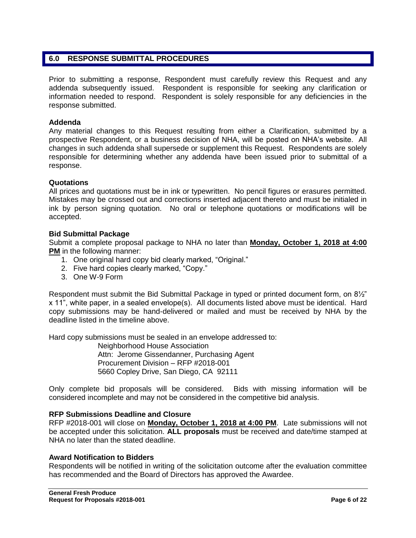# **6.0 RESPONSE SUBMITTAL PROCEDURES**

Prior to submitting a response, Respondent must carefully review this Request and any addenda subsequently issued. Respondent is responsible for seeking any clarification or information needed to respond. Respondent is solely responsible for any deficiencies in the response submitted.

#### **Addenda**

Any material changes to this Request resulting from either a Clarification, submitted by a prospective Respondent, or a business decision of NHA, will be posted on NHA's website. All changes in such addenda shall supersede or supplement this Request. Respondents are solely responsible for determining whether any addenda have been issued prior to submittal of a response.

#### **Quotations**

All prices and quotations must be in ink or typewritten. No pencil figures or erasures permitted. Mistakes may be crossed out and corrections inserted adjacent thereto and must be initialed in ink by person signing quotation. No oral or telephone quotations or modifications will be accepted.

#### **Bid Submittal Package**

Submit a complete proposal package to NHA no later than **Monday, October 1, 2018 at 4:00 PM** in the following manner:

- 1. One original hard copy bid clearly marked, "Original."
- 2. Five hard copies clearly marked, "Copy."
- 3. One W-9 Form

Respondent must submit the Bid Submittal Package in typed or printed document form, on 8½" x 11", white paper, in a sealed envelope(s). All documents listed above must be identical. Hard copy submissions may be hand-delivered or mailed and must be received by NHA by the deadline listed in the timeline above.

Hard copy submissions must be sealed in an envelope addressed to:

Neighborhood House Association Attn: Jerome Gissendanner, Purchasing Agent Procurement Division – RFP #2018-001 5660 Copley Drive, San Diego, CA 92111

Only complete bid proposals will be considered. Bids with missing information will be considered incomplete and may not be considered in the competitive bid analysis.

#### **RFP Submissions Deadline and Closure**

RFP #2018-001 will close on **Monday, October 1, 2018 at 4:00 PM**. Late submissions will not be accepted under this solicitation. **ALL proposals** must be received and date/time stamped at NHA no later than the stated deadline.

#### **Award Notification to Bidders**

Respondents will be notified in writing of the solicitation outcome after the evaluation committee has recommended and the Board of Directors has approved the Awardee.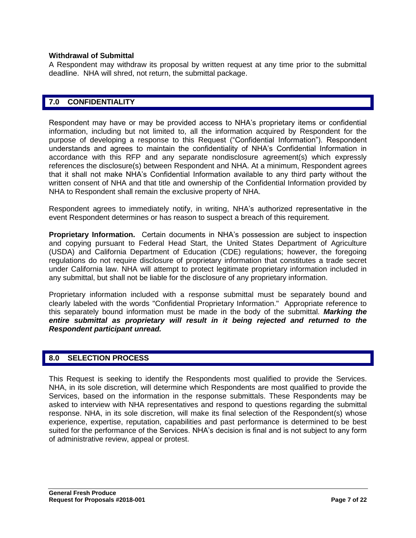#### **Withdrawal of Submittal**

A Respondent may withdraw its proposal by written request at any time prior to the submittal deadline. NHA will shred, not return, the submittal package.

# **7.0 CONFIDENTIALITY**

Respondent may have or may be provided access to NHA's proprietary items or confidential information, including but not limited to, all the information acquired by Respondent for the purpose of developing a response to this Request ("Confidential Information"). Respondent understands and agrees to maintain the confidentiality of NHA's Confidential Information in accordance with this RFP and any separate nondisclosure agreement(s) which expressly references the disclosure(s) between Respondent and NHA. At a minimum, Respondent agrees that it shall not make NHA's Confidential Information available to any third party without the written consent of NHA and that title and ownership of the Confidential Information provided by NHA to Respondent shall remain the exclusive property of NHA.

Respondent agrees to immediately notify, in writing, NHA's authorized representative in the event Respondent determines or has reason to suspect a breach of this requirement.

**Proprietary Information.** Certain documents in NHA's possession are subject to inspection and copying pursuant to Federal Head Start, the United States Department of Agriculture (USDA) and California Department of Education (CDE) regulations; however, the foregoing regulations do not require disclosure of proprietary information that constitutes a trade secret under California law. NHA will attempt to protect legitimate proprietary information included in any submittal, but shall not be liable for the disclosure of any proprietary information.

Proprietary information included with a response submittal must be separately bound and clearly labeled with the words "Confidential Proprietary Information." Appropriate reference to this separately bound information must be made in the body of the submittal. *Marking the*  entire submittal as proprietary will result in it being rejected and returned to the *Respondent participant unread.*

#### **8.0 SELECTION PROCESS**

This Request is seeking to identify the Respondents most qualified to provide the Services. NHA, in its sole discretion, will determine which Respondents are most qualified to provide the Services, based on the information in the response submittals. These Respondents may be asked to interview with NHA representatives and respond to questions regarding the submittal response. NHA, in its sole discretion, will make its final selection of the Respondent(s) whose experience, expertise, reputation, capabilities and past performance is determined to be best suited for the performance of the Services. NHA's decision is final and is not subject to any form of administrative review, appeal or protest.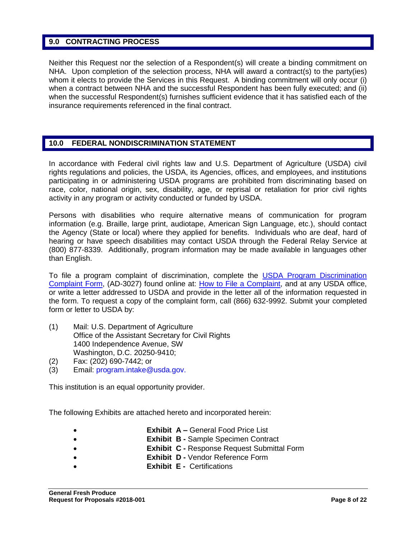## **9.0 CONTRACTING PROCESS**

Neither this Request nor the selection of a Respondent(s) will create a binding commitment on NHA. Upon completion of the selection process, NHA will award a contract(s) to the party(ies) whom it elects to provide the Services in this Request. A binding commitment will only occur (i) when a contract between NHA and the successful Respondent has been fully executed; and (ii) when the successful Respondent(s) furnishes sufficient evidence that it has satisfied each of the insurance requirements referenced in the final contract.

# **10.0 FEDERAL NONDISCRIMINATION STATEMENT**

In accordance with Federal civil rights law and U.S. Department of Agriculture (USDA) civil rights regulations and policies, the USDA, its Agencies, offices, and employees, and institutions participating in or administering USDA programs are prohibited from discriminating based on race, color, national origin, sex, disability, age, or reprisal or retaliation for prior civil rights activity in any program or activity conducted or funded by USDA.

Persons with disabilities who require alternative means of communication for program information (e.g. Braille, large print, audiotape, American Sign Language, etc.), should contact the Agency (State or local) where they applied for benefits. Individuals who are deaf, hard of hearing or have speech disabilities may contact USDA through the Federal Relay Service at (800) 877-8339. Additionally, program information may be made available in languages other than English.

To file a program complaint of discrimination, complete the [USDA Program Discrimination](http://www.ocio.usda.gov/sites/default/files/docs/2012/Complain_combined_6_8_12.pdf)  [Complaint Form,](http://www.ocio.usda.gov/sites/default/files/docs/2012/Complain_combined_6_8_12.pdf) (AD-3027) found online at: [How to File a Complaint,](http://www.ascr.usda.gov/complaint_filing_cust.html) and at any USDA office, or write a letter addressed to USDA and provide in the letter all of the information requested in the form. To request a copy of the complaint form, call (866) 632-9992. Submit your completed form or letter to USDA by:

- (1) Mail: U.S. Department of Agriculture Office of the Assistant Secretary for Civil Rights 1400 Independence Avenue, SW Washington, D.C. 20250-9410;
- (2) Fax: (202) 690-7442; or
- (3) Email: program.intake@usda.gov.

This institution is an equal opportunity provider.

The following Exhibits are attached hereto and incorporated herein:

- **Exhibit A –** General Food Price List
	- **Exhibit B -** Sample Specimen Contract
- **Exhibit C -** Response Request Submittal Form
- **Exhibit D -** Vendor Reference Form
- **Exhibit E -** Certifications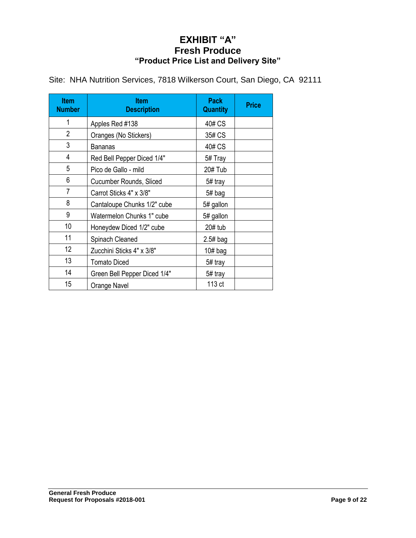# **EXHIBIT "A" Fresh Produce "Product Price List and Delivery Site"**

| <b>Item</b><br><b>Number</b> | <b>Item</b><br><b>Description</b> | <b>Pack</b><br><b>Quantity</b> | <b>Price</b> |
|------------------------------|-----------------------------------|--------------------------------|--------------|
| 1                            | Apples Red #138                   | 40# CS                         |              |
| $\overline{2}$               | Oranges (No Stickers)             | 35# CS                         |              |
| 3                            | Bananas                           | 40# CS                         |              |
| 4                            | Red Bell Pepper Diced 1/4"        | 5# Tray                        |              |
| 5                            | Pico de Gallo - mild              | 20# Tub                        |              |
| 6                            | Cucumber Rounds, Sliced           | 5# tray                        |              |
| $\overline{7}$               | Carrot Sticks 4" x 3/8"           | 5# bag                         |              |
| 8                            | Cantaloupe Chunks 1/2" cube       | 5# gallon                      |              |
| 9                            | Watermelon Chunks 1" cube         | 5# gallon                      |              |
| 10                           | Honeydew Diced 1/2" cube          | 20# tub                        |              |
| 11                           | Spinach Cleaned                   | $2.5#$ bag                     |              |
| 12 <sup>2</sup>              | Zucchini Sticks 4" x 3/8"         | $10#$ bag                      |              |
| 13                           | <b>Tomato Diced</b>               | 5# tray                        |              |
| 14                           | Green Bell Pepper Diced 1/4"      | 5# tray                        |              |
| 15                           | Orange Navel                      | 113 ct                         |              |

Site: NHA Nutrition Services, 7818 Wilkerson Court, San Diego, CA 92111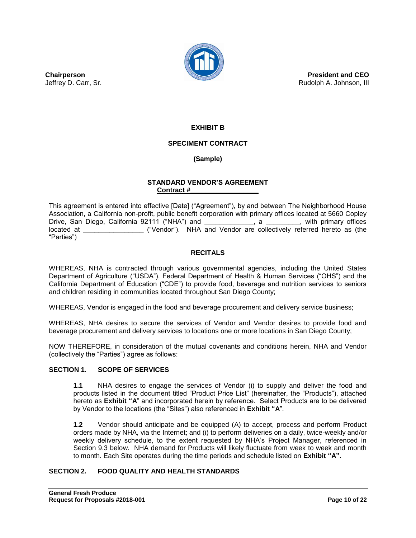

**President and CEO** Rudolph A. Johnson, III

**Chairperson** Jeffrey D. Carr, Sr.

# **EXHIBIT B**

#### **SPECIMENT CONTRACT**

# **(Sample)**

#### **STANDARD VENDOR'S AGREEMENT Contract #\_\_\_\_\_\_\_\_\_\_\_\_\_\_\_\_\_\_**

This agreement is entered into effective [Date] ("Agreement"), by and between The Neighborhood House Association, a California non-profit, public benefit corporation with primary offices located at 5660 Copley Drive, San Diego, California 92111 ("NHA") and  $\qquad \qquad$ , a  $\qquad \qquad$ , with primary offices located at  $($ "Vendor"). NHA and Vendor are collectively referred hereto as (the "Parties")

#### **RECITALS**

WHEREAS, NHA is contracted through various governmental agencies, including the United States Department of Agriculture ("USDA"), Federal Department of Health & Human Services ("OHS") and the California Department of Education ("CDE") to provide food, beverage and nutrition services to seniors and children residing in communities located throughout San Diego County;

WHEREAS, Vendor is engaged in the food and beverage procurement and delivery service business;

WHEREAS, NHA desires to secure the services of Vendor and Vendor desires to provide food and beverage procurement and delivery services to locations one or more locations in San Diego County;

NOW THEREFORE, in consideration of the mutual covenants and conditions herein, NHA and Vendor (collectively the "Parties") agree as follows:

#### **SECTION 1. SCOPE OF SERVICES**

**1.1** NHA desires to engage the services of Vendor (i) to supply and deliver the food and products listed in the document titled "Product Price List" (hereinafter, the "Products"), attached hereto as **Exhibit "A**" and incorporated herein by reference. Select Products are to be delivered by Vendor to the locations (the "Sites") also referenced in **Exhibit "A**".

**1.2** Vendor should anticipate and be equipped (A) to accept, process and perform Product orders made by NHA, via the Internet; and (i) to perform deliveries on a daily, twice-weekly and/or weekly delivery schedule, to the extent requested by NHA's Project Manager, referenced in Section 9.3 below. NHA demand for Products will likely fluctuate from week to week and month to month. Each Site operates during the time periods and schedule listed on **Exhibit "A".**

## **SECTION 2. FOOD QUALITY AND HEALTH STANDARDS**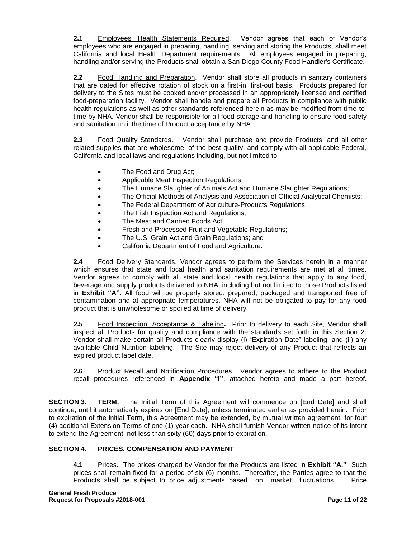**2.1** Employees' Health Statements Required. Vendor agrees that each of Vendor's employees who are engaged in preparing, handling, serving and storing the Products, shall meet California and local Health Department requirements. All employees engaged in preparing, handling and/or serving the Products shall obtain a San Diego County Food Handler's Certificate.

**2.2** Food Handling and Preparation. Vendor shall store all products in sanitary containers that are dated for effective rotation of stock on a first-in, first-out basis. Products prepared for delivery to the Sites must be cooked and/or processed in an appropriately licensed and certified food-preparation facility. Vendor shall handle and prepare all Products in compliance with public health regulations as well as other standards referenced herein as may be modified from time-totime by NHA. Vendor shall be responsible for all food storage and handling to ensure food safety and sanitation until the time of Product acceptance by NHA.

**2.3** Food Quality Standards. Vendor shall purchase and provide Products, and all other related supplies that are wholesome, of the best quality, and comply with all applicable Federal, California and local laws and regulations including, but not limited to:

- The Food and Drug Act;
- Applicable Meat Inspection Regulations;
- The Humane Slaughter of Animals Act and Humane Slaughter Regulations;
- The Official Methods of Analysis and Association of Official Analytical Chemists;
- The Federal Department of Agriculture-Products Regulations;
- The Fish Inspection Act and Regulations;
- The Meat and Canned Foods Act;
- Fresh and Processed Fruit and Vegetable Regulations;
- The U.S. Grain Act and Grain Regulations; and
- California Department of Food and Agriculture.

**2.4** Food Delivery Standards. Vendor agrees to perform the Services herein in a manner which ensures that state and local health and sanitation requirements are met at all times. Vendor agrees to comply with all state and local health regulations that apply to any food, beverage and supply products delivered to NHA, including but not limited to those Products listed in **Exhibit "A"**. All food will be properly stored, prepared, packaged and transported free of contamination and at appropriate temperatures. NHA will not be obligated to pay for any food product that is unwholesome or spoiled at time of delivery.

**2.5** Food Inspection, Acceptance & Labeling**.** Prior to delivery to each Site, Vendor shall inspect all Products for quality and compliance with the standards set forth in this Section 2. Vendor shall make certain all Products clearly display (i) "Expiration Date" labeling; and (ii) any available Child Nutrition labeling. The Site may reject delivery of any Product that reflects an expired product label date.

**2.6** Product Recall and Notification Procedures. Vendor agrees to adhere to the Product recall procedures referenced in **Appendix "I"**, attached hereto and made a part hereof.

**SECTION 3. TERM.** The Initial Term of this Agreement will commence on [End Date] and shall continue, until it automatically expires on [End Date]; unless terminated earlier as provided herein. Prior to expiration of the initial Term, this Agreement may be extended, by mutual written agreement, for four (4) additional Extension Terms of one (1) year each. NHA shall furnish Vendor written notice of its intent to extend the Agreement, not less than sixty (60) days prior to expiration.

#### **SECTION 4. PRICES, COMPENSATION AND PAYMENT**

**4.1** Prices.The prices charged by Vendor for the Products are listed in **Exhibit "A."** Such prices shall remain fixed for a period of six (6) months. Thereafter, the Parties agree to that the Products shall be subject to price adjustments based on market fluctuations. Price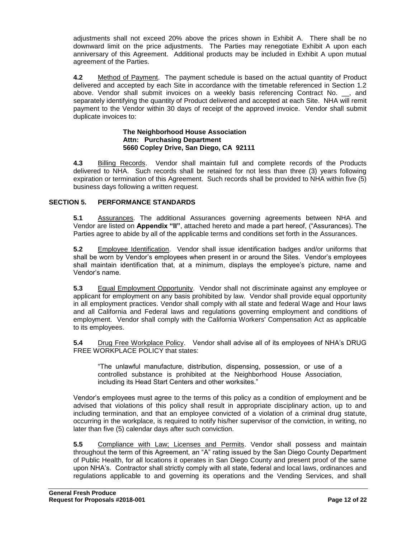adjustments shall not exceed 20% above the prices shown in Exhibit A. There shall be no downward limit on the price adjustments. The Parties may renegotiate Exhibit A upon each anniversary of this Agreement. Additional products may be included in Exhibit A upon mutual agreement of the Parties.

**4.2** Method of Payment. The payment schedule is based on the actual quantity of Product delivered and accepted by each Site in accordance with the timetable referenced in Section 1.2 above. Vendor shall submit invoices on a weekly basis referencing Contract No. . and separately identifying the quantity of Product delivered and accepted at each Site. NHA will remit payment to the Vendor within 30 days of receipt of the approved invoice. Vendor shall submit duplicate invoices to:

#### **The Neighborhood House Association Attn: Purchasing Department 5660 Copley Drive, San Diego, CA 92111**

**4.3** Billing Records. Vendor shall maintain full and complete records of the Products delivered to NHA. Such records shall be retained for not less than three (3) years following expiration or termination of this Agreement. Such records shall be provided to NHA within five (5) business days following a written request.

#### **SECTION 5. PERFORMANCE STANDARDS**

**5.1** Assurances. The additional Assurances governing agreements between NHA and Vendor are listed on **Appendix "II"**, attached hereto and made a part hereof, ("Assurances). The Parties agree to abide by all of the applicable terms and conditions set forth in the Assurances.

**5.2** Employee Identification. Vendor shall issue identification badges and/or uniforms that shall be worn by Vendor's employees when present in or around the Sites. Vendor's employees shall maintain identification that, at a minimum, displays the employee's picture, name and Vendor's name.

**5.3** Equal Employment Opportunity. Vendor shall not discriminate against any employee or applicant for employment on any basis prohibited by law. Vendor shall provide equal opportunity in all employment practices. Vendor shall comply with all state and federal Wage and Hour laws and all California and Federal laws and regulations governing employment and conditions of employment. Vendor shall comply with the California Workers' Compensation Act as applicable to its employees.

**5.4** Drug Free Workplace Policy. Vendor shall advise all of its employees of NHA's DRUG FREE WORKPLACE POLICY that states:

"The unlawful manufacture, distribution, dispensing, possession, or use of a controlled substance is prohibited at the Neighborhood House Association, including its Head Start Centers and other worksites."

Vendor's employees must agree to the terms of this policy as a condition of employment and be advised that violations of this policy shall result in appropriate disciplinary action, up to and including termination, and that an employee convicted of a violation of a criminal drug statute, occurring in the workplace, is required to notify his/her supervisor of the conviction, in writing, no later than five (5) calendar days after such conviction.

**5.5** Compliance with Law; Licenses and Permits. Vendor shall possess and maintain throughout the term of this Agreement, an "A" rating issued by the San Diego County Department of Public Health, for all locations it operates in San Diego County and present proof of the same upon NHA's. Contractor shall strictly comply with all state, federal and local laws, ordinances and regulations applicable to and governing its operations and the Vending Services, and shall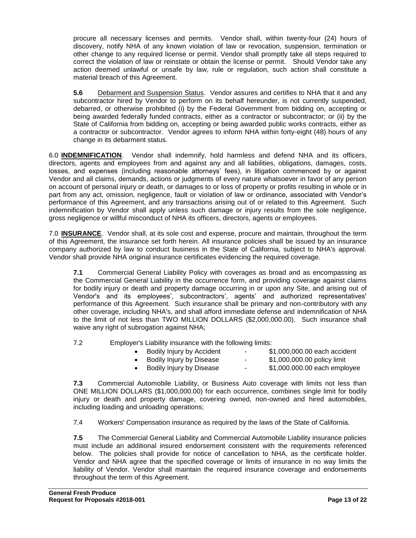procure all necessary licenses and permits. Vendor shall, within twenty-four (24) hours of discovery, notify NHA of any known violation of law or revocation, suspension, termination or other change to any required license or permit. Vendor shall promptly take all steps required to correct the violation of law or reinstate or obtain the license or permit. Should Vendor take any action deemed unlawful or unsafe by law, rule or regulation, such action shall constitute a material breach of this Agreement.

**5.6** Debarment and Suspension Status. Vendor assures and certifies to NHA that it and any subcontractor hired by Vendor to perform on its behalf hereunder, is not currently suspended, debarred, or otherwise prohibited (i) by the Federal Government from bidding on, accepting or being awarded federally funded contracts, either as a contractor or subcontractor; or (ii) by the State of California from bidding on, accepting or being awarded public works contracts, either as a contractor or subcontractor. Vendor agrees to inform NHA within forty-eight (48) hours of any change in its debarment status.

6.0 **INDEMNIFICATION**. Vendor shall indemnify, hold harmless and defend NHA and its officers, directors, agents and employees from and against any and all liabilities, obligations, damages, costs, losses, and expenses (including reasonable attorneys' fees), in litigation commenced by or against Vendor and all claims, demands, actions or judgments of every nature whatsoever in favor of any person on account of personal injury or death, or damages to or loss of property or profits resulting in whole or in part from any act, omission, negligence, fault or violation of law or ordinance, associated with Vendor's performance of this Agreement, and any transactions arising out of or related to this Agreement. Such indemnification by Vendor shall apply unless such damage or injury results from the sole negligence, gross negligence or willful misconduct of NHA its officers, directors, agents or employees.

7.0 **INSURANCE**. Vendor shall, at its sole cost and expense, procure and maintain, throughout the term of this Agreement, the insurance set forth herein. All insurance policies shall be issued by an insurance company authorized by law to conduct business in the State of California, subject to NHA's approval. Vendor shall provide NHA original insurance certificates evidencing the required coverage.

**7.1** Commercial General Liability Policy with coverages as broad and as encompassing as the Commercial General Liability in the occurrence form, and providing coverage against claims for bodily injury or death and property damage occurring in or upon any Site, and arising out of Vendor's and its employees', subcontractors', agents' and authorized representatives' performance of this Agreement. Such insurance shall be primary and non-contributory with any other coverage, including NHA's, and shall afford immediate defense and indemnification of NHA to the limit of not less than TWO MILLION DOLLARS (\$2,000,000.00). Such insurance shall waive any right of subrogation against NHA;

7.2 Employer's Liability insurance with the following limits:

| Bodily Injury by Accident | $\sim$ | \$1,000,000.00 each accident |
|---------------------------|--------|------------------------------|
| Bodily Injury by Disease  | ٠.     | \$1,000,000.00 policy limit  |
| Bodily Injury by Disease  | $\sim$ | \$1,000.000.00 each employee |
|                           |        |                              |

**7.3** Commercial Automobile Liability, or Business Auto coverage with limits not less than ONE MILLION DOLLARS (\$1,000,000.00) for each occurrence, combines single limit for bodily injury or death and property damage, covering owned, non-owned and hired automobiles, including loading and unloading operations;

7.4 Workers' Compensation insurance as required by the laws of the State of California.

**7.5** The Commercial General Liability and Commercial Automobile Liability insurance policies must include an additional insured endorsement consistent with the requirements referenced below. The policies shall provide for notice of cancellation to NHA, as the certificate holder. Vendor and NHA agree that the specified coverage or limits of insurance in no way limits the liability of Vendor. Vendor shall maintain the required insurance coverage and endorsements throughout the term of this Agreement.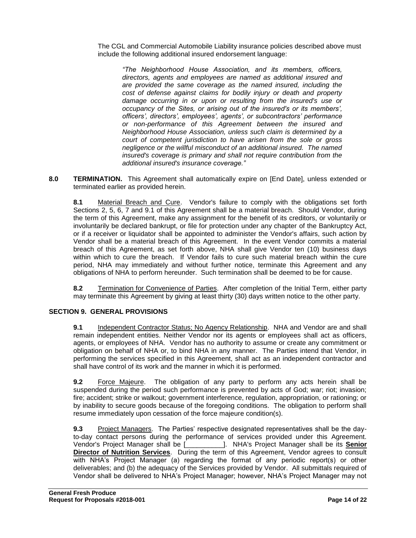The CGL and Commercial Automobile Liability insurance policies described above must include the following additional insured endorsement language:

*"The Neighborhood House Association, and its members, officers, directors, agents and employees are named as additional insured and are provided the same coverage as the named insured, including the cost of defense against claims for bodily injury or death and property damage occurring in or upon or resulting from the insured's use or occupancy of the Sites, or arising out of the insured's or its members', officers', directors', employees', agents', or subcontractors' performance or non-performance of this Agreement between the insured and Neighborhood House Association, unless such claim is determined by a court of competent jurisdiction to have arisen from the sole or gross negligence or the willful misconduct of an additional insured. The named insured's coverage is primary and shall not require contribution from the additional insured's insurance coverage."*

**8.0 TERMINATION.** This Agreement shall automatically expire on [End Date], unless extended or terminated earlier as provided herein.

**8.1** Material Breach and Cure. Vendor's failure to comply with the obligations set forth Sections 2, 5, 6, 7 and 9.1 of this Agreement shall be a material breach. Should Vendor, during the term of this Agreement, make any assignment for the benefit of its creditors, or voluntarily or involuntarily be declared bankrupt, or file for protection under any chapter of the Bankruptcy Act, or if a receiver or liquidator shall be appointed to administer the Vendor's affairs, such action by Vendor shall be a material breach of this Agreement. In the event Vendor commits a material breach of this Agreement, as set forth above, NHA shall give Vendor ten (10) business days within which to cure the breach. If Vendor fails to cure such material breach within the cure period, NHA may immediately and without further notice, terminate this Agreement and any obligations of NHA to perform hereunder. Such termination shall be deemed to be for cause.

**8.2** Termination for Convenience of Parties. After completion of the Initial Term, either party may terminate this Agreement by giving at least thirty (30) days written notice to the other party.

#### **SECTION 9. GENERAL PROVISIONS**

**9.1** Independent Contractor Status; No Agency Relationship. NHA and Vendor are and shall remain independent entities. Neither Vendor nor its agents or employees shall act as officers, agents, or employees of NHA. Vendor has no authority to assume or create any commitment or obligation on behalf of NHA or, to bind NHA in any manner. The Parties intend that Vendor, in performing the services specified in this Agreement, shall act as an independent contractor and shall have control of its work and the manner in which it is performed.

**9.2** Force Majeure. The obligation of any party to perform any acts herein shall be suspended during the period such performance is prevented by acts of God; war; riot; invasion; fire; accident; strike or walkout; government interference, regulation, appropriation, or rationing; or by inability to secure goods because of the foregoing conditions. The obligation to perform shall resume immediately upon cessation of the force majeure condition(s).

**9.3** Project Managers. The Parties' respective designated representatives shall be the dayto-day contact persons during the performance of services provided under this Agreement. Vendor's Project Manager shall be [\_\_\_\_\_\_\_\_\_\_]. NHA's Project Manager shall be its **Senior Director of Nutrition Services**. During the term of this Agreement, Vendor agrees to consult with NHA's Project Manager (a) regarding the format of any periodic report(s) or other deliverables; and (b) the adequacy of the Services provided by Vendor. All submittals required of Vendor shall be delivered to NHA's Project Manager; however, NHA's Project Manager may not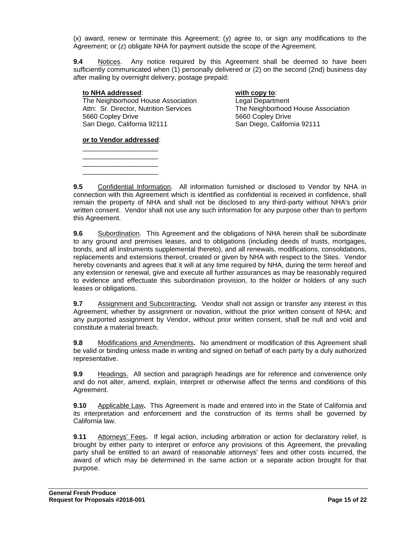(x) award, renew or terminate this Agreement; (y) agree to, or sign any modifications to the Agreement; or (z) obligate NHA for payment outside the scope of the Agreement.

**9.4** Notices. Any notice required by this Agreement shall be deemed to have been sufficiently communicated when (1) personally delivered or (2) on the second (2nd) business day after mailing by overnight delivery, postage prepaid:

#### **to NHA addressed**: **with copy to**:

The Neighborhood House Association<br>
Attn: Sr. Director, Nutrition Services<br>
The Neighborhood 5660 Copley Drive 5660 Copley Drive San Diego, California 92111 San Diego, California 92111

The Neighborhood House Association

**or to Vendor addressed**: \_\_\_\_\_\_\_\_\_\_\_\_\_\_\_\_\_\_\_\_

\_\_\_\_\_\_\_\_\_\_\_\_\_\_\_\_\_\_\_\_ \_\_\_\_\_\_\_\_\_\_\_\_\_\_\_\_\_\_\_\_ \_\_\_\_\_\_\_\_\_\_\_\_\_\_\_\_\_\_\_\_

**9.5** Confidential Information. All information furnished or disclosed to Vendor by NHA in connection with this Agreement which is identified as confidential is received in confidence, shall remain the property of NHA and shall not be disclosed to any third-party without NHA's prior written consent. Vendor shall not use any such information for any purpose other than to perform this Agreement.

**9.6** Subordination. This Agreement and the obligations of NHA herein shall be subordinate to any ground and premises leases, and to obligations (including deeds of trusts, mortgages, bonds, and all instruments supplemental thereto), and all renewals, modifications, consolidations, replacements and extensions thereof, created or given by NHA with respect to the Sites. Vendor hereby covenants and agrees that it will at any time required by NHA, during the term hereof and any extension or renewal, give and execute all further assurances as may be reasonably required to evidence and effectuate this subordination provision, to the holder or holders of any such leases or obligations.

**9.7** Assignment and Subcontracting**.** Vendor shall not assign or transfer any interest in this Agreement, whether by assignment or novation, without the prior written consent of NHA; and any purported assignment by Vendor, without prior written consent, shall be null and void and constitute a material breach.

**9.8** Modifications and Amendments**.** No amendment or modification of this Agreement shall be valid or binding unless made in writing and signed on behalf of each party by a duly authorized representative.

**9.9** Headings. All section and paragraph headings are for reference and convenience only and do not alter, amend, explain, interpret or otherwise affect the terms and conditions of this Agreement.

**9.10** Applicable Law**.** This Agreement is made and entered into in the State of California and its interpretation and enforcement and the construction of its terms shall be governed by California law.

**9.11** Attorneys' Fees**.** If legal action, including arbitration or action for declaratory relief, is brought by either party to interpret or enforce any provisions of this Agreement, the prevailing party shall be entitled to an award of reasonable attorneys' fees and other costs incurred, the award of which may be determined in the same action or a separate action brought for that purpose.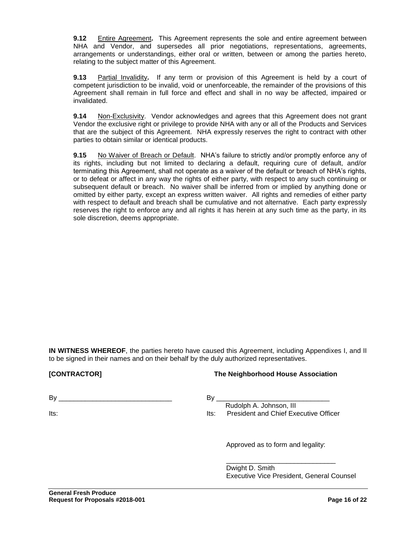**9.12** Entire Agreement**.** This Agreement represents the sole and entire agreement between NHA and Vendor, and supersedes all prior negotiations, representations, agreements, arrangements or understandings, either oral or written, between or among the parties hereto, relating to the subject matter of this Agreement.

**9.13** Partial Invalidity**.** If any term or provision of this Agreement is held by a court of competent jurisdiction to be invalid, void or unenforceable, the remainder of the provisions of this Agreement shall remain in full force and effect and shall in no way be affected, impaired or invalidated.

**9.14** Non-Exclusivity. Vendor acknowledges and agrees that this Agreement does not grant Vendor the exclusive right or privilege to provide NHA with any or all of the Products and Services that are the subject of this Agreement. NHA expressly reserves the right to contract with other parties to obtain similar or identical products.

**9.15** No Waiver of Breach or Default. NHA's failure to strictly and/or promptly enforce any of its rights, including but not limited to declaring a default, requiring cure of default, and/or terminating this Agreement, shall not operate as a waiver of the default or breach of NHA's rights, or to defeat or affect in any way the rights of either party, with respect to any such continuing or subsequent default or breach. No waiver shall be inferred from or implied by anything done or omitted by either party, except an express written waiver. All rights and remedies of either party with respect to default and breach shall be cumulative and not alternative. Each party expressly reserves the right to enforce any and all rights it has herein at any such time as the party, in its sole discretion, deems appropriate.

**IN WITNESS WHEREOF**, the parties hereto have caused this Agreement, including Appendixes I, and II to be signed in their names and on their behalf by the duly authorized representatives.

#### **[CONTRACTOR] The Neighborhood House Association**

 $\mathsf{By}$ 

Its:

# By \_\_\_\_\_\_\_\_\_\_\_\_\_\_\_\_\_\_\_\_\_\_\_\_\_\_\_\_\_\_

 Rudolph A. Johnson, III Its: President and Chief Executive Officer

Approved as to form and legality:

\_\_\_\_\_\_\_\_\_\_\_\_\_\_\_\_\_\_\_\_\_\_\_\_\_\_\_\_\_

Dwight D. Smith Executive Vice President, General Counsel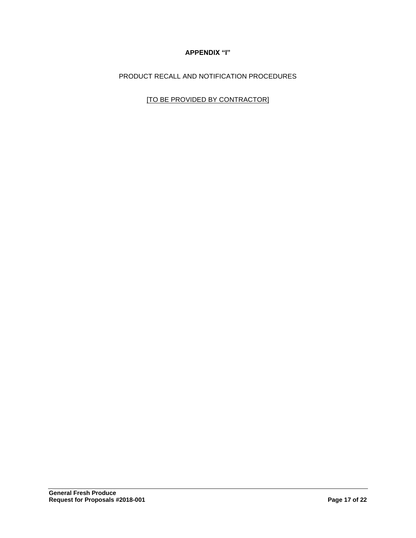# **APPENDIX "I"**

PRODUCT RECALL AND NOTIFICATION PROCEDURES

[TO BE PROVIDED BY CONTRACTOR]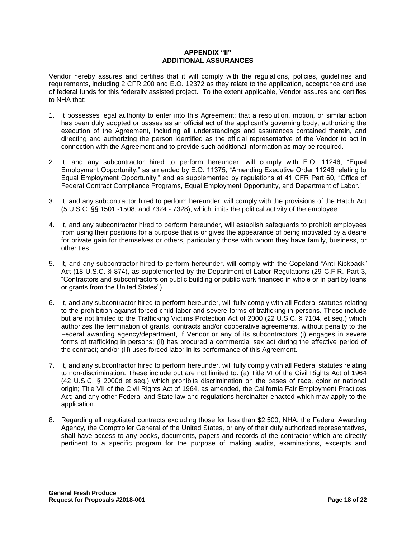#### **APPENDIX "II" ADDITIONAL ASSURANCES**

Vendor hereby assures and certifies that it will comply with the regulations, policies, guidelines and requirements, including 2 CFR 200 and E.O. 12372 as they relate to the application, acceptance and use of federal funds for this federally assisted project. To the extent applicable, Vendor assures and certifies to NHA that:

- 1. It possesses legal authority to enter into this Agreement; that a resolution, motion, or similar action has been duly adopted or passes as an official act of the applicant's governing body, authorizing the execution of the Agreement, including all understandings and assurances contained therein, and directing and authorizing the person identified as the official representative of the Vendor to act in connection with the Agreement and to provide such additional information as may be required.
- 2. It, and any subcontractor hired to perform hereunder, will comply with E.O. 11246, "Equal Employment Opportunity," as amended by E.O. 11375, "Amending Executive Order 11246 relating to Equal Employment Opportunity," and as supplemented by regulations at 41 CFR Part 60, "Office of Federal Contract Compliance Programs, Equal Employment Opportunity, and Department of Labor."
- 3. It, and any subcontractor hired to perform hereunder, will comply with the provisions of the Hatch Act (5 U.S.C. §§ 1501 -1508, and 7324 - 7328), which limits the political activity of the employee.
- 4. It, and any subcontractor hired to perform hereunder, will establish safeguards to prohibit employees from using their positions for a purpose that is or gives the appearance of being motivated by a desire for private gain for themselves or others, particularly those with whom they have family, business, or other ties.
- 5. It, and any subcontractor hired to perform hereunder, will comply with the Copeland "Anti-Kickback" Act (18 U.S.C. § 874), as supplemented by the Department of Labor Regulations (29 C.F.R. Part 3, "Contractors and subcontractors on public building or public work financed in whole or in part by loans or grants from the United States").
- 6. It, and any subcontractor hired to perform hereunder, will fully comply with all Federal statutes relating to the prohibition against forced child labor and severe forms of trafficking in persons. These include but are not limited to the Trafficking Victims Protection Act of 2000 (22 U.S.C. § 7104, et seq.) which authorizes the termination of grants, contracts and/or cooperative agreements, without penalty to the Federal awarding agency/department, if Vendor or any of its subcontractors (i) engages in severe forms of trafficking in persons; (ii) has procured a commercial sex act during the effective period of the contract; and/or (iii) uses forced labor in its performance of this Agreement.
- 7. It, and any subcontractor hired to perform hereunder, will fully comply with all Federal statutes relating to non-discrimination. These include but are not limited to: (a) Title VI of the Civil Rights Act of 1964 (42 U.S.C. § 2000d et seq.) which prohibits discrimination on the bases of race, color or national origin; Title VII of the Civil Rights Act of 1964, as amended, the California Fair Employment Practices Act; and any other Federal and State law and regulations hereinafter enacted which may apply to the application.
- 8. Regarding all negotiated contracts excluding those for less than \$2,500, NHA, the Federal Awarding Agency, the Comptroller General of the United States, or any of their duly authorized representatives, shall have access to any books, documents, papers and records of the contractor which are directly pertinent to a specific program for the purpose of making audits, examinations, excerpts and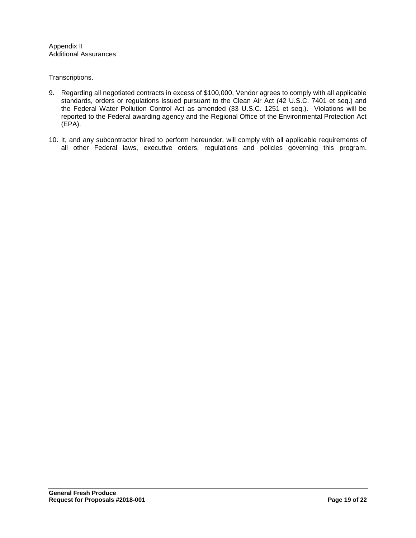Appendix II Additional Assurances

Transcriptions.

- 9. Regarding all negotiated contracts in excess of \$100,000, Vendor agrees to comply with all applicable standards, orders or regulations issued pursuant to the Clean Air Act (42 U.S.C. 7401 et seq.) and the Federal Water Pollution Control Act as amended (33 U.S.C. 1251 et seq.). Violations will be reported to the Federal awarding agency and the Regional Office of the Environmental Protection Act (EPA).
- 10. It, and any subcontractor hired to perform hereunder, will comply with all applicable requirements of all other Federal laws, executive orders, regulations and policies governing this program.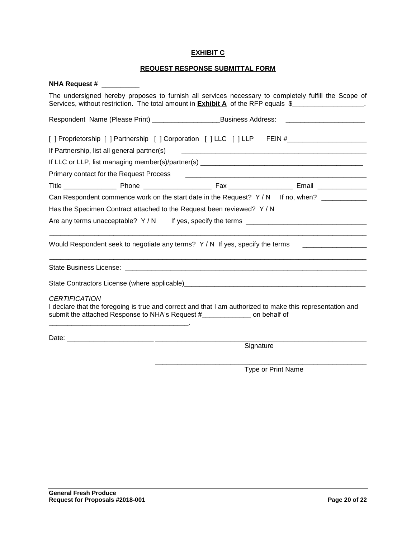## **EXHIBIT C**

# **REQUEST RESPONSE SUBMITTAL FORM**

| <b>NHA Request #</b>                                                                                                                                                                                                                                                                  |           |  |  |
|---------------------------------------------------------------------------------------------------------------------------------------------------------------------------------------------------------------------------------------------------------------------------------------|-----------|--|--|
| The undersigned hereby proposes to furnish all services necessary to completely fulfill the Scope of<br>Services, without restriction. The total amount in <b>Exhibit A</b> of the RFP equals \$                                                                                      |           |  |  |
| Respondent Name (Please Print) _____________________________Business Address: ______________________                                                                                                                                                                                  |           |  |  |
| [ ] Proprietorship [ ] Partnership [ ] Corporation [ ] LLC [ ] LLP FEIN #__________________________                                                                                                                                                                                   |           |  |  |
| If Partnership, list all general partner(s)                                                                                                                                                                                                                                           |           |  |  |
|                                                                                                                                                                                                                                                                                       |           |  |  |
| Primary contact for the Request Process                                                                                                                                                                                                                                               |           |  |  |
|                                                                                                                                                                                                                                                                                       |           |  |  |
| Can Respondent commence work on the start date in the Request? Y/N If no, when?                                                                                                                                                                                                       |           |  |  |
| Has the Specimen Contract attached to the Request been reviewed? Y / N<br>Are any terms unacceptable? $Y/N$ If yes, specify the terms                                                                                                                                                 |           |  |  |
|                                                                                                                                                                                                                                                                                       |           |  |  |
|                                                                                                                                                                                                                                                                                       |           |  |  |
|                                                                                                                                                                                                                                                                                       |           |  |  |
| <b>CERTIFICATION</b><br>I declare that the foregoing is true and correct and that I am authorized to make this representation and<br>submit the attached Response to NHA's Request # The Connect on behalf of<br><u> 1989 - Johann Barn, mars an t-Amerikaansk politiker (* 1908)</u> |           |  |  |
|                                                                                                                                                                                                                                                                                       |           |  |  |
|                                                                                                                                                                                                                                                                                       | Signature |  |  |
|                                                                                                                                                                                                                                                                                       |           |  |  |

Type or Print Name

\_\_\_\_\_\_\_\_\_\_\_\_\_\_\_\_\_\_\_\_\_\_\_\_\_\_\_\_\_\_\_\_\_\_\_\_\_\_\_\_\_\_\_\_\_\_\_\_\_\_\_\_\_\_\_\_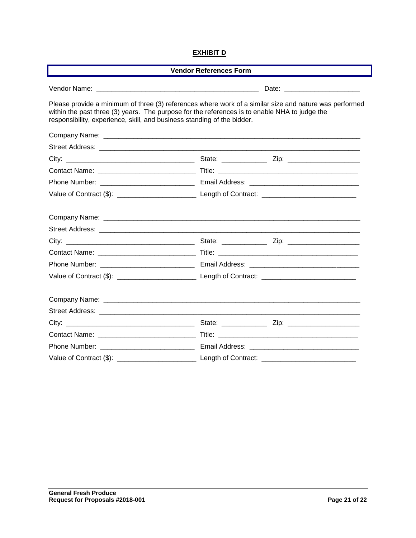## **EXHIBIT D**

| <b>Vendor References Form</b>                                                                                                                                                                                                                                                      |                                                                                                                |  |  |  |
|------------------------------------------------------------------------------------------------------------------------------------------------------------------------------------------------------------------------------------------------------------------------------------|----------------------------------------------------------------------------------------------------------------|--|--|--|
|                                                                                                                                                                                                                                                                                    |                                                                                                                |  |  |  |
| Please provide a minimum of three (3) references where work of a similar size and nature was performed<br>within the past three (3) years. The purpose for the references is to enable NHA to judge the<br>responsibility, experience, skill, and business standing of the bidder. |                                                                                                                |  |  |  |
|                                                                                                                                                                                                                                                                                    |                                                                                                                |  |  |  |
|                                                                                                                                                                                                                                                                                    |                                                                                                                |  |  |  |
|                                                                                                                                                                                                                                                                                    |                                                                                                                |  |  |  |
|                                                                                                                                                                                                                                                                                    |                                                                                                                |  |  |  |
|                                                                                                                                                                                                                                                                                    |                                                                                                                |  |  |  |
|                                                                                                                                                                                                                                                                                    |                                                                                                                |  |  |  |
|                                                                                                                                                                                                                                                                                    | Company Name: company Name: company Name: company Name: company Name: company Name: company Name: company Name |  |  |  |
|                                                                                                                                                                                                                                                                                    |                                                                                                                |  |  |  |
|                                                                                                                                                                                                                                                                                    |                                                                                                                |  |  |  |
|                                                                                                                                                                                                                                                                                    |                                                                                                                |  |  |  |
|                                                                                                                                                                                                                                                                                    |                                                                                                                |  |  |  |
|                                                                                                                                                                                                                                                                                    |                                                                                                                |  |  |  |
|                                                                                                                                                                                                                                                                                    |                                                                                                                |  |  |  |
|                                                                                                                                                                                                                                                                                    |                                                                                                                |  |  |  |
|                                                                                                                                                                                                                                                                                    |                                                                                                                |  |  |  |
|                                                                                                                                                                                                                                                                                    |                                                                                                                |  |  |  |
|                                                                                                                                                                                                                                                                                    |                                                                                                                |  |  |  |
|                                                                                                                                                                                                                                                                                    |                                                                                                                |  |  |  |